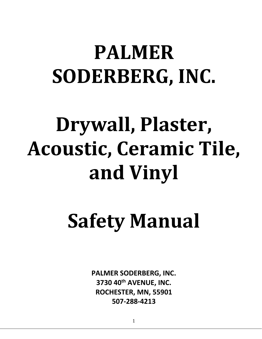## **PALMER SODERBERG, INC.**

# **Drywall, Plaster, Acoustic, Ceramic Tile, and Vinyl**

# **Safety Manual**

**PALMER SODERBERG, INC. 3730 40th AVENUE, INC. ROCHESTER, MN, 55901 507-288-4213**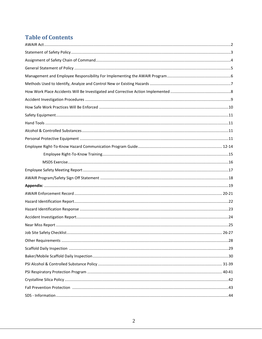## **Table of Contents**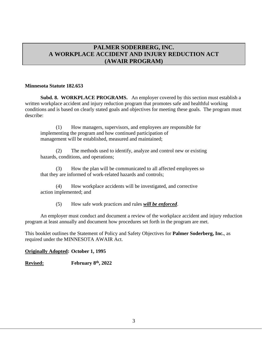## **PALMER SODERBERG, INC. A WORKPLACE ACCIDENT AND INJURY REDUCTION ACT (AWAIR PROGRAM)**

#### **Minnesota Statute 182.653**

**Subd. 8. WORKPLACE PROGRAMS.** An employer covered by this section must establish a written workplace accident and injury reduction program that promotes safe and healthful working conditions and is based on clearly stated goals and objectives for meeting these goals. The program must describe:

(1) How managers, supervisors, and employees are responsible for implementing the program and how continued participation of management will be established, measured and maintained;

(2) The methods used to identify, analyze and control new or existing hazards, conditions, and operations;

(3) How the plan will be communicated to all affected employees so that they are informed of work-related hazards and controls;

(4) How workplace accidents will be investigated, and corrective action implemented; and

(5) How safe work practices and rules *will be enforced*.

An employer must conduct and document a review of the workplace accident and injury reduction program at least annually and document how procedures set forth in the program are met.

This booklet outlines the Statement of Policy and Safety Objectives for **Palmer Soderberg, Inc.**, as required under the MINNESOTA AWAIR Act.

#### **Originally Adopted: October 1, 1995**

**Revised: February 8 th, 2022**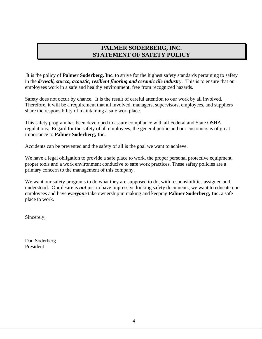## **PALMER SODERBERG, INC. STATEMENT OF SAFETY POLICY**

It is the policy of **Palmer Soderberg, Inc.** to strive for the highest safety standards pertaining to safety in the *drywall, stucco, acoustic, resilient flooring and ceramic tile industry*. This is to ensure that our employees work in a safe and healthy environment, free from recognized hazards.

Safety does not occur by chance. It is the result of careful attention to our work by all involved. Therefore, it will be a requirement that all involved, managers, supervisors, employees, and suppliers share the responsibility of maintaining a safe workplace.

This safety program has been developed to assure compliance with all Federal and State OSHA regulations. Regard for the safety of all employees, the general public and our customers is of great importance to **Palmer Soderberg, Inc.**

Accidents can be prevented and the safety of all is the goal we want to achieve.

We have a legal obligation to provide a safe place to work, the proper personal protective equipment, proper tools and a work environment conducive to safe work practices. These safety policies are a primary concern to the management of this company.

We want our safety programs to do what they are supposed to do, with responsibilities assigned and understood. Our desire is *not* just to have impressive looking safety documents, we want to educate our employees and have *everyone* take ownership in making and keeping **Palmer Soderberg, Inc.** a safe place to work.

Sincerely,

Dan Soderberg President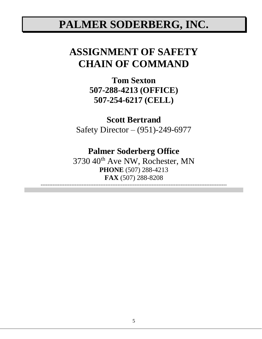## **PALMER SODERBERG, INC.**

## **ASSIGNMENT OF SAFETY CHAIN OF COMMAND**

**Tom Sexton 507-288-4213 (OFFICE) 507-254-6217 (CELL)**

**Scott Bertrand**

Safety Director – (951)-249-6977

## **Palmer Soderberg Office**

3730 40<sup>th</sup> Ave NW, Rochester, MN **PHONE** (507) 288-4213 **FAX** (507) 288-8208 -------------------------------------------------------------------------------------------------------------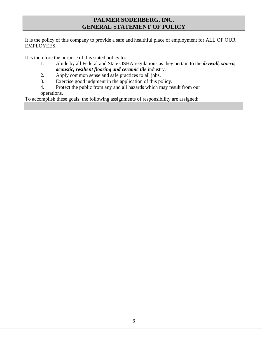## **PALMER SODERBERG, INC. GENERAL STATEMENT OF POLICY**

It is the policy of this company to provide a safe and healthful place of employment for ALL OF OUR EMPLOYEES.

It is therefore the purpose of this stated policy to:

- 1. Abide by all Federal and State OSHA regulations as they pertain to the *drywall, stucco, acoustic, resilient flooring and ceramic tile* industry.
- 
- 2. Apply common sense and safe practices to all jobs.<br>3. Exercise good judgment in the application of this possible. Exercise good judgment in the application of this policy.
- 4. Protect the public from any and all hazards which may result from our operations.

To accomplish these goals, the following assignments of responsibility are assigned: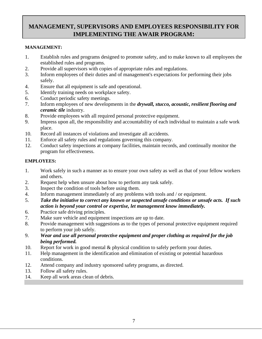## **MANAGEMENT, SUPERVISORS AND EMPLOYEES RESPONSIBILITY FOR IMPLEMENTING THE AWAIR PROGRAM:**

## **MANAGEMENT:**

- 1. Establish rules and programs designed to promote safety, and to make known to all employees the established rules and programs.
- 2. Provide all supervisors with copies of appropriate rules and regulations.
- 3. Inform employees of their duties and of management's expectations for performing their jobs safely.
- 4. Ensure that all equipment is safe and operational.
- 5. Identify training needs on workplace safety.
- 6. Conduct periodic safety meetings.
- 7. Inform employees of new developments in the *drywall, stucco, acoustic, resilient flooring and ceramic tile* industry.
- 8. Provide employees with all required personal protective equipment.
- 9. Impress upon all, the responsibility and accountability of each individual to maintain a safe work place.
- 10. Record all instances of violations and investigate all accidents.
- 11. Enforce all safety rules and regulations governing this company.
- 12. Conduct safety inspections at company facilities, maintain records, and continually monitor the program for effectiveness.

## **EMPLOYEES:**

- 1. Work safely in such a manner as to ensure your own safety as well as that of your fellow workers and others.
- 2. Request help when unsure about how to perform any task safely.
- 3. Inspect the condition of tools before using them.
- 4. Inform management immediately of any problems with tools and / or equipment.
- 5. *Take the initiative to correct any known or suspected unsafe conditions or unsafe acts. If such action is beyond your control or expertise, let management know immediately.*
- 6. Practice safe driving principles.
- 7. Make sure vehicle and equipment inspections are up to date.
- 8. Provide management with suggestions as to the types of personal protective equipment required to perform your job safely.
- 9. *Wear and use all personal protective equipment and proper clothing as required for the job being performed.*
- 10. Report for work in good mental & physical condition to safely perform your duties.
- 11. Help management in the identification and elimination of existing or potential hazardous conditions.
- 12. Attend company and industry sponsored safety programs, as directed.
- 13. Follow all safety rules.
- 14. Keep all work areas clean of debris.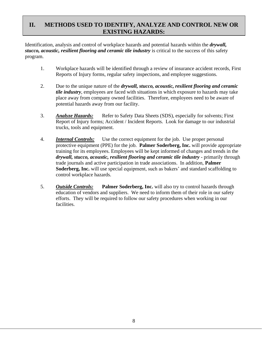## **II. METHODS USED TO IDENTIFY, ANALYZE AND CONTROL NEW OR EXISTING HAZARDS:**

Identification, analysis and control of workplace hazards and potential hazards within the *drywall, stucco, acoustic, resilient flooring and ceramic tile industry* is critical to the success of this safety program.

- 1. Workplace hazards will be identified through a review of insurance accident records, First Reports of Injury forms, regular safety inspections, and employee suggestions.
- 2. Due to the unique nature of the *drywall, stucco, acoustic, resilient flooring and ceramic tile industry*, employees are faced with situations in which exposure to hazards may take place away from company owned facilities. Therefore, employees need to be aware of potential hazards away from our facility.
- 3. *Analyze Hazards:* Refer to Safety Data Sheets (SDS), especially for solvents; First Report of Injury forms; Accident / Incident Reports. Look for damage to our industrial trucks, tools and equipment.
- 4. *Internal Controls:* Use the correct equipment for the job. Use proper personal protective equipment (PPE) for the job. **Palmer Soderberg, Inc.** will provide appropriate training for its employees. Employees will be kept informed of changes and trends in the *drywall, stucco, acoustic, resilient flooring and ceramic tile industry* - primarily through trade journals and active participation in trade associations. In addition, **Palmer Soderberg, Inc.** will use special equipment, such as bakers' and standard scaffolding to control workplace hazards.
- 5. *Outside Controls:* **Palmer Soderberg, Inc.** will also try to control hazards through education of vendors and suppliers. We need to inform them of their role in our safety efforts. They will be required to follow our safety procedures when working in our facilities.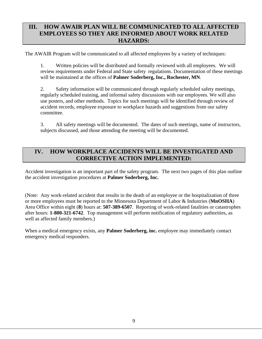## **III. HOW AWAIR PLAN WILL BE COMMUNICATED TO ALL AFFECTED EMPLOYEES SO THEY ARE INFORMED ABOUT WORK RELATED HAZARDS:**

The AWAIR Program will be communicated to all affected employees by a variety of techniques:

1. Written policies will be distributed and formally reviewed with all employees. We will review requirements under Federal and State safety regulations. Documentation of these meetings will be maintained at the offices of **Palmer Soderberg, Inc., Rochester, MN**.

2. Safety information will be communicated through regularly scheduled safety meetings, regularly scheduled training, and informal safety discussions with our employees. We will also use posters, and other methods. Topics for such meetings will be identified through review of accident records, employee exposure to workplace hazards and suggestions from our safety committee.

3. All safety meetings will be documented. The dates of such meetings, name of instructors, subjects discussed, and those attending the meeting will be documented.

## **IV. HOW WORKPLACE ACCIDENTS WILL BE INVESTIGATED AND CORRECTIVE ACTION IMPLEMENTED:**

Accident investigation is an important part of the safety program. The next two pages of this plan outline the accident investigation procedures at **Palmer Soderberg, Inc.**

(Note: Any work-related accident that results in the death of an employee or the hospitalization of three or more employees must be reported to the Minnesota Department of Labor & Industries (**MnOSHA**) Area Office within eight (**8**) hours at: **507-389-6507**. Reporting of work-related fatalities or catastrophes after hours: **1-800-321-6742**. Top management will perform notification of regulatory authorities, as well as affected family members.)

When a medical emergency exists, any **Palmer Soderberg, inc.** employee may immediately contact emergency medical responders.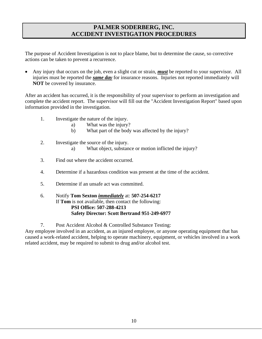## **PALMER SODERBERG, INC. ACCIDENT INVESTIGATION PROCEDURES**

The purpose of Accident Investigation is not to place blame, but to determine the cause, so corrective actions can be taken to prevent a recurrence.

• Any injury that occurs on the job, even a slight cut or strain, *must* be reported to your supervisor. All injuries must be reported the *same day* for insurance reasons. Injuries not reported immediately will **NOT** be covered by insurance.

After an accident has occurred, it is the responsibility of your supervisor to perform an investigation and complete the accident report. The supervisor will fill out the "Accident Investigation Report" based upon information provided in the investigation.

- 1. Investigate the nature of the injury.
	- a) What was the injury?
	- b) What part of the body was affected by the injury?
- 2. Investigate the source of the injury.
	- a) What object, substance or motion inflicted the injury?
- 3. Find out where the accident occurred.
- 4. Determine if a hazardous condition was present at the time of the accident.
- 5. Determine if an unsafe act was committed.
- 6. Notify **Tom Sexton** *immediately* at: **507-254-6217** If **Tom** is not available, then contact the following: **PSI Office: 507-288-4213 Safety Director: Scott Bertrand 951-249-6977**

7. Post Accident Alcohol & Controlled Substance Testing:

Any employee involved in an accident, as an injured employee, or anyone operating equipment that has caused a work-related accident, helping to operate machinery, equipment, or vehicles involved in a work related accident, may be required to submit to drug and/or alcohol test.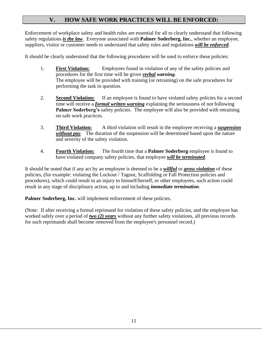## **V. HOW SAFE WORK PRACTICES WILL BE ENFORCED:**

Enforcement of workplace safety and health rules are essential for all to clearly understand that following safety regulations *is the law*. Everyone associated with **Palmer Soderberg, Inc.**, whether an employee, suppliers, visitor or customer needs to understand that safety rules and regulations *will be enforced*.

It should be clearly understood that the following procedures will be used to enforce these policies:

- 1. **First Violation:** Employees found in violation of any of the safety policies and procedures for the first time will be given *verbal warning*. The employee will be provided with training (or retraining) on the safe procedures for performing the task in question.
- 2. **Second Violation:** If an employee is found to have violated safety policies for a second time will receive a *formal written warning* explaining the seriousness of not following **Palmer Soderberg's** safety policies. The employee will also be provided with retraining on safe work practices.
- 3. **Third Violation:** A third violation will result in the employee receiving a *suspension without pay*. The duration of the suspension will be determined based upon the nature and severity of the safety violation.
- 4. **Fourth Violation:** The fourth time that a **Palmer Soderberg** employee is found to have violated company safety policies, that employee *will be terminated*.

It should be noted that if any act by an employee is deemed to be a *willful* or *gross violation* of these policies, (for example: violating the Lockout / Tagout, Scaffolding or Fall Protection policies and procedures), which could result in an injury to himself/herself, or other employees, such action could result in any stage of disciplinary action, up to and including *immediate termination*.

**Palmer Soderberg, Inc.** will implement enforcement of these policies.

(Note: If after receiving a formal reprimand for violation of these safety policies, and the employee has worked safely over a period of *two (2) years* without any further safety violations, all previous records for such reprimands shall become removed from the employee's personnel record.)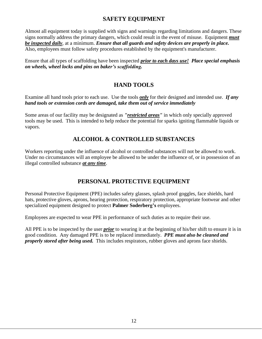## **SAFETY EQUIPMENT**

Almost all equipment today is supplied with signs and warnings regarding limitations and dangers. These signs normally address the primary dangers, which could result in the event of misuse. Equipment *must be inspected daily*, at a minimum. *Ensure that all guards and safety devices are properly in place.*  Also, employees must follow safety procedures established by the equipment's manufacturer.

Ensure that all types of scaffolding have been inspected *prior to each days use! Place special emphasis on wheels, wheel locks and pins on baker's scaffolding.*

## **HAND TOOLS**

Examine all hand tools prior to each use. Use the tools *only* for their designed and intended use. *If any hand tools or extension cords are damaged, take them out of service immediately*

Some areas of our facility may be designated as *"restricted areas"* in which only specially approved tools may be used. This is intended to help reduce the potential for sparks igniting flammable liquids or vapors.

## **ALCOHOL & CONTROLLED SUBSTANCES**

Workers reporting under the influence of alcohol or controlled substances will not be allowed to work. Under no circumstances will an employee be allowed to be under the influence of, or in possession of an illegal controlled substance *at any time*.

## **PERSONAL PROTECTIVE EQUIPMENT**

Personal Protective Equipment (PPE) includes safety glasses, splash proof goggles, face shields, hard hats, protective gloves, aprons, hearing protection, respiratory protection, appropriate footwear and other specialized equipment designed to protect **Palmer Soderberg's** employees.

Employees are expected to wear PPE in performance of such duties as to require their use.

All PPE is to be inspected by the user *prior* to wearing it at the beginning of his/her shift to ensure it is in good condition. Any damaged PPE is to be replaced immediately. *PPE must also be cleaned and properly stored after being used.* This includes respirators, rubber gloves and aprons face shields.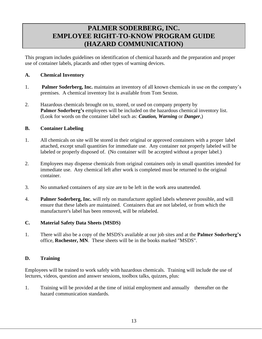## **PALMER SODERBERG, INC. EMPLOYEE RIGHT-TO-KNOW PROGRAM GUIDE (HAZARD COMMUNICATION)**

This program includes guidelines on identification of chemical hazards and the preparation and proper use of container labels, placards and other types of warning devices.

### **A. Chemical Inventory**

- 1. **Palmer Soderberg, Inc.** maintains an inventory of all known chemicals in use on the company's premises. A chemical inventory list is available from Tom Sexton.
- 2. Hazardous chemicals brought on to, stored, or used on company property by **Palmer Soderberg's** employees will be included on the hazardous chemical inventory list. (Look for words on the container label such as: *Caution, Warning* or *Danger*,)

## **B. Container Labeling**

- 1. All chemicals on site will be stored in their original or approved containers with a proper label attached, except small quantities for immediate use. Any container not properly labeled will be labeled or properly disposed of. (No container will be accepted without a proper label.)
- 2. Employees may dispense chemicals from original containers only in small quantities intended for immediate use. Any chemical left after work is completed must be returned to the original container.
- 3. No unmarked containers of any size are to be left in the work area unattended.
- 4. **Palmer Soderberg, Inc.** will rely on manufacturer applied labels whenever possible, and will ensure that these labels are maintained. Containers that are not labeled, or from which the manufacturer's label has been removed, will be relabeled.

## **C. Material Safety Data Sheets (MSDS)**

1. There will also be a copy of the MSDS's available at our job sites and at the **Palmer Soderberg's** office, **Rochester, MN**. These sheets will be in the books marked "MSDS".

## **D. Training**

Employees will be trained to work safely with hazardous chemicals. Training will include the use of lectures, videos, question and answer sessions, toolbox talks, quizzes, plus:

1. Training will be provided at the time of initial employment and annually thereafter on the hazard communication standards.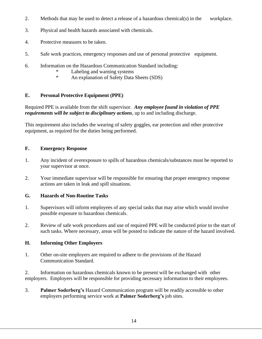- 2. Methods that may be used to detect a release of a hazardous chemical(s) in the workplace.
- 3. Physical and health hazards associated with chemicals.
- 4. Protective measures to be taken.
- 5. Safe work practices, emergency responses and use of personal protective equipment.
- 6. Information on the Hazardous Communication Standard including:
	- \* Labeling and warning systems<br>An explanation of Safety Data
	- An explanation of Safety Data Sheets (SDS)

## **E. Personal Protective Equipment (PPE)**

Required PPE is available from the shift supervisor. *Any employee found in violation of PPE requirements will be subject to disciplinary actions*, up to and including discharge.

This requirement also includes the wearing of safety goggles, ear protection and other protective equipment, as required for the duties being performed.

## **F. Emergency Response**

- 1. Any incident of overexposure to spills of hazardous chemicals/substances must be reported to your supervisor at once.
- 2. Your immediate supervisor will be responsible for ensuring that proper emergency response actions are taken in leak and spill situations.

## **G. Hazards of Non-Routine Tasks**

- 1. Supervisors will inform employees of any special tasks that may arise which would involve possible exposure to hazardous chemicals.
- 2. Review of safe work procedures and use of required PPE will be conducted prior to the start of such tasks. Where necessary, areas will be posted to indicate the nature of the hazard involved.

## **H. Informing Other Employers**

1. Other on-site employers are required to adhere to the provisions of the Hazard Communication Standard.

2. Information on hazardous chemicals known to be present will be exchanged with other employers. Employers will be responsible for providing necessary information to their employees.

3. **Palmer Soderberg's** Hazard Communication program will be readily accessible to other employers performing service work at **Palmer Soderberg's** job sites.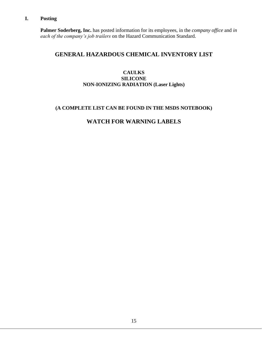## **I. Posting**

**Palmer Soderberg, Inc.** has posted information for its employees, in the *company office* and *in each of the company's job trailers* on the Hazard Communication Standard.

## **GENERAL HAZARDOUS CHEMICAL INVENTORY LIST**

## **CAULKS SILICONE NON-IONIZING RADIATION (Laser Lights)**

## **(A COMPLETE LIST CAN BE FOUND IN THE MSDS NOTEBOOK)**

## **WATCH FOR WARNING LABELS**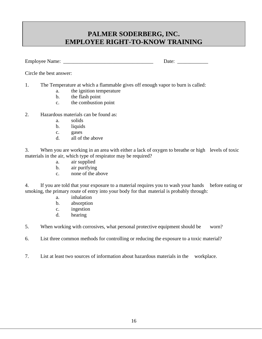## **PALMER SODERBERG, INC. EMPLOYEE RIGHT-TO-KNOW TRAINING**

Employee Name: \_\_\_\_\_\_\_\_\_\_\_\_\_\_\_\_\_\_\_\_\_\_\_\_\_\_\_\_\_\_\_\_\_\_\_ Date: \_\_\_\_\_\_\_\_\_\_\_\_

Circle the best answer:

- 1. The Temperature at which a flammable gives off enough vapor to burn is called:
	- a. the ignition temperature
	- b. the flash point
	- c. the combustion point
- 2. Hazardous materials can be found as:
	- a. solids
	- b. liquids
	- c. gases
	- d. all of the above

3. When you are working in an area with either a lack of oxygen to breathe or high levels of toxic materials in the air, which type of respirator may be required?

- a. air supplied
- b. air purifying
- c. none of the above

4. If you are told that your exposure to a material requires you to wash your hands before eating or smoking, the primary route of entry into your body for that material is probably through:

- a. inhalation
- b. absorption
- c. ingestion
- d. hearing

5. When working with corrosives, what personal protective equipment should be worn?

- 6. List three common methods for controlling or reducing the exposure to a toxic material?
- 7. List at least two sources of information about hazardous materials in the workplace.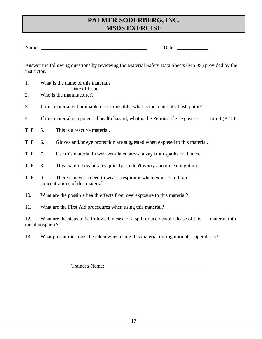## **PALMER SODERBERG, INC. MSDS EXERCISE**

| $\mathbf{v}$<br>N.<br>Name: | 'ale |  |
|-----------------------------|------|--|
| . . <del>. .</del> .        | ---  |  |

Answer the following questions by reviewing the Material Safety Data Sheets (MSDS) provided by the instructor.

- 1. What is the name of this material? Date of Issue:
- 2. Who is the manufacturer?
- 3. If this material is flammable or combustible, what is the material's flash point?
- 4. If this material is a potential health hazard, what is the Permissible Exposure Limit (PEL)?
- T F 5. This is a reactive material.
- T F 6. Gloves and/or eye protection are suggested when exposed to this material.
- T F 7. Use this material in well ventilated areas, away from sparks or flames.
- T F 8. This material evaporates quickly, so don't worry about cleaning it up.
- T F 9. There is never a need to wear a respirator when exposed to high concentrations of this material.
- 10. What are the possible health effects from overexposure to this material?
- 11. What are the First Aid procedures when using this material?

12. What are the steps to be followed in case of a spill or accidental release of this material into the atmosphere?

13. What precautions must be taken when using this material during normal operations?

Trainer's Name: \_\_\_\_\_\_\_\_\_\_\_\_\_\_\_\_\_\_\_\_\_\_\_\_\_\_\_\_\_\_\_\_\_\_\_\_\_\_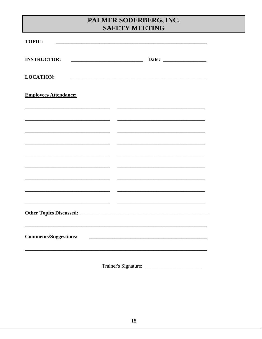## PALMER SODERBERG, INC. SAFETY MEETING

| <b>TOPIC:</b>                |  |
|------------------------------|--|
| <b>INSTRUCTOR:</b>           |  |
| <b>LOCATION:</b>             |  |
| <b>Employees Attendance:</b> |  |
|                              |  |
|                              |  |
|                              |  |
|                              |  |
|                              |  |
|                              |  |
|                              |  |
| <b>Comments/Suggestions:</b> |  |
|                              |  |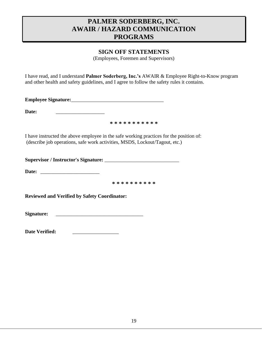## **PALMER SODERBERG, INC. AWAIR / HAZARD COMMUNICATION PROGRAMS**

## **SIGN OFF STATEMENTS**

(Employees, Foremen and Supervisors)

I have read, and I understand **Palmer Soderberg, Inc.'s** AWAIR & Employee Right-to-Know program and other health and safety guidelines, and I agree to follow the safety rules it contains.

**Employee Signature:**\_\_\_\_\_\_\_\_\_\_\_\_\_\_\_\_\_\_\_\_\_\_\_\_\_\_\_\_\_\_\_\_\_\_\_\_

**Date:**  $\blacksquare$ 

**\* \* \* \* \* \* \* \* \* \* \***

I have instructed the above employee in the safe working practices for the position of: (describe job operations, safe work activities, MSDS, Lockout/Tagout, etc.)

**Supervisor / Instructor's Signature:** \_\_\_\_\_\_\_\_\_\_\_\_\_\_\_\_\_\_\_\_\_\_\_\_\_\_\_\_\_

**Date:** \_\_\_\_\_\_\_\_\_\_\_\_\_\_\_\_\_\_\_\_\_\_\_

**\* \* \* \* \* \* \* \* \* \*** 

**Reviewed and Verified by Safety Coordinator:**

**Signature:** \_\_\_\_\_\_\_\_\_\_\_\_\_\_\_\_\_\_\_\_\_\_\_\_\_\_\_\_\_\_\_\_\_\_

| Date Verified: |  |
|----------------|--|
|----------------|--|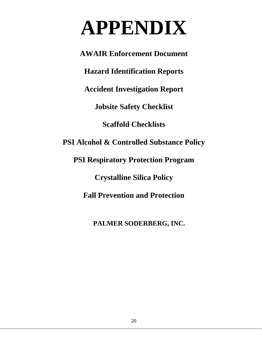## **APPENDIX**

**AWAIR Enforcement Document Hazard Identification Reports Accident Investigation Report Jobsite Safety Checklist Scaffold Checklists PSI Alcohol & Controlled Substance Policy PSI Respiratory Protection Program Crystalline Silica Policy Fall Prevention and Protection**

 **PALMER SODERBERG, INC.**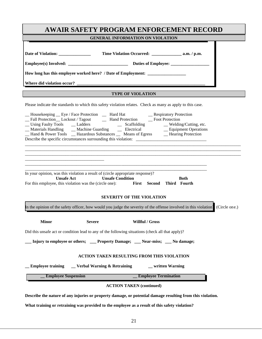| <b>AWAIR SAFETY PROGRAM ENFORCEMENT RECORD</b>                                                                                                                                                                                                                                                                                                                                                                                                                                                                           |
|--------------------------------------------------------------------------------------------------------------------------------------------------------------------------------------------------------------------------------------------------------------------------------------------------------------------------------------------------------------------------------------------------------------------------------------------------------------------------------------------------------------------------|
| <b>GENERAL INFORMATION ON VIOLATION</b>                                                                                                                                                                                                                                                                                                                                                                                                                                                                                  |
| How long has this employee worked here? / Date of Employment: __________________                                                                                                                                                                                                                                                                                                                                                                                                                                         |
| <b>TYPE OF VIOLATION</b>                                                                                                                                                                                                                                                                                                                                                                                                                                                                                                 |
| Please indicate the standards to which this safety violation relates. Check as many as apply to this case.<br>__ Housekeeping __ Eye / Face Protection ___ Hard Hat ___ __ Respiratory Protection __ Fall Protection __ Lockout / Tagout ___ Hand Protection __ Foot Protection<br>Using Faulty Tools Ladders<br>Machine Guarding Scaffolding Welding/Cutting, etc.<br>Machine Guarding Scaffolding Blectrical Lequipment Operations<br>Hand & Power Tools _ Hazardous Substances _ Means of Egress _ Hearing Protection |
| In your opinion, was this violation a result of (circle appropriate response)?<br><b>Unsafe Act</b><br><b>Unsafe Condition</b><br><b>Both</b><br>For this employee, this violation was the (circle one): First Second Third Fourth<br><b>SEVERITY OF THE VIOLATION</b>                                                                                                                                                                                                                                                   |
| In the opinion of the safety officer, how would you judge the severity of the offense involved in this violation' (Circle one.)                                                                                                                                                                                                                                                                                                                                                                                          |
| <b>Minor</b><br><b>Severe</b><br>Willful / Gross<br>Did this unsafe act or condition lead to any of the following situations (check all that apply)?<br>Injury to employee or others; ____Property Damage; _____Near-miss; ____No damage;                                                                                                                                                                                                                                                                                |
| ACTION TAKEN RESULTING FROM THIS VIOLATION<br>$\Gamma$ Verbal Warning & Retraining<br><b>Employee training</b><br>written Warning<br><b>Employee Suspension</b><br><b>Employee Termination</b>                                                                                                                                                                                                                                                                                                                           |
|                                                                                                                                                                                                                                                                                                                                                                                                                                                                                                                          |
| <b>ACTION TAKEN (continued)</b><br>Describe the nature of any injuries or property damage, or potential damage resulting from this violation.                                                                                                                                                                                                                                                                                                                                                                            |

**What training or retraining was provided to the employee as a result of this safety violation?**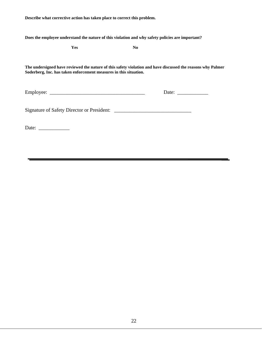**Describe what corrective action has taken place to correct this problem.**

**Does the employee understand the nature of this violation and why safety policies are important?**

|                                                          | Yes                                                               | N <sub>0</sub>                             |                                                                                                             |
|----------------------------------------------------------|-------------------------------------------------------------------|--------------------------------------------|-------------------------------------------------------------------------------------------------------------|
|                                                          | Soderberg, Inc. has taken enforcement measures in this situation. |                                            | The undersigned have reviewed the nature of this safety violation and have discussed the reasons why Palmer |
|                                                          |                                                                   |                                            |                                                                                                             |
|                                                          |                                                                   | Signature of Safety Director or President: |                                                                                                             |
| Date: $\frac{1}{\sqrt{1-\frac{1}{2}} \cdot \frac{1}{2}}$ |                                                                   |                                            |                                                                                                             |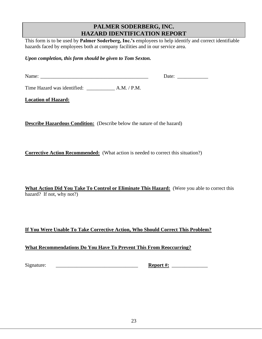## **PALMER SODERBERG, INC. HAZARD IDENTIFICATION REPORT**

This form is to be used by **Palmer Soderberg, Inc.'s** employees to help identify and correct identifiable hazards faced by employees both at company facilities and in our service area.

*Upon completion, this form should be given to Tom Sexton.*

| $\mathbf{A}$ |  |  |
|--------------|--|--|
|              |  |  |

Time Hazard was identified: \_\_\_\_\_\_\_\_\_\_\_ A.M. / P.M.

**Location of Hazard:**

**Describe Hazardous Condition:** (Describe below the nature of the hazard)

**Corrective Action Recommended:** (What action is needed to correct this situation?)

**What Action Did You Take To Control or Eliminate This Hazard:** (Were you able to correct this hazard? If not, why not?)

## **If You Were Unable To Take Corrective Action, Who Should Correct This Problem?**

## **What Recommendations Do You Have To Prevent This From Reoccurring?**

Signature: \_\_\_\_\_\_\_\_\_\_\_\_\_\_\_\_\_\_\_\_\_\_\_\_\_\_\_\_\_\_\_\_ **Report #:** \_\_\_\_\_\_\_\_\_\_\_\_\_\_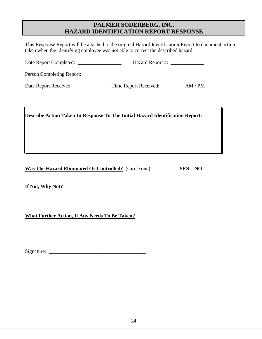## **PALMER SODERBERG, INC. HAZARD IDENTIFICATION REPORT RESPONSE**

This Response Report will be attached to the original Hazard Identification Report to document action taken when the identifying employee was not able to correct the described hazard.

| Date Report Completed:    | Hazard Report #:                                                                                                      |  |
|---------------------------|-----------------------------------------------------------------------------------------------------------------------|--|
| Person Completing Report: | <u> 1980 - Jan Samuel Barbara, margaret e populazion del control de la provincia de la provincia del control de l</u> |  |
| Date Report Received:     |                                                                                                                       |  |
|                           |                                                                                                                       |  |

## **Describe Action Taken In Response To The Initial Hazard Identification Report:**

**Was The Hazard Eliminated Or Controlled?** (Circle one) **YES NO**

**If Not, Why Not?**

**What Further Action, If Any Needs To Be Taken?**

Signature: \_\_\_\_\_\_\_\_\_\_\_\_\_\_\_\_\_\_\_\_\_\_\_\_\_\_\_\_\_\_\_\_\_\_\_\_\_\_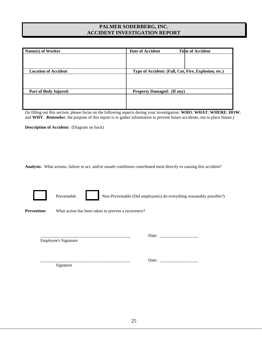## **PALMER SODERBERG, INC. ACCIDENT INVESTIGATION REPORT**

| Name(s) of Worker           | Date of Accident                                     | <b>Time of Accident</b> |
|-----------------------------|------------------------------------------------------|-------------------------|
|                             |                                                      |                         |
|                             |                                                      |                         |
| <b>Location of Accident</b> | Type of Accident: (Fall, Cut, Fire, Explosion, etc.) |                         |
|                             |                                                      |                         |
|                             |                                                      |                         |
|                             |                                                      |                         |
| Part of Body Injured:       | <b>Property Damaged: (If any)</b>                    |                         |
|                             |                                                      |                         |
|                             |                                                      |                         |
|                             |                                                      |                         |

(In filling out this section, please focus on the following aspects during your investigation: **WHO**; **WHAT**; **WHERE**; **HOW**; and **WHY**. *Remember*, the purpose of this report is to gather information to prevent future accidents, not to place blame.)

**Description of Accident:** (Diagram on back)

**Analysis:** What actions, failure to act, and/or unsafe conditions contributed most directly to causing this accident?

|                    | Preventable                 |                                                     | Non-Preventable (Did employee(s) do everything reasonably possible?) |  |
|--------------------|-----------------------------|-----------------------------------------------------|----------------------------------------------------------------------|--|
| <b>Prevention:</b> |                             | What action has been taken to prevent a recurrence? |                                                                      |  |
|                    | <b>Employee's Signature</b> |                                                     | Date:                                                                |  |
|                    |                             |                                                     | Date:                                                                |  |

Signature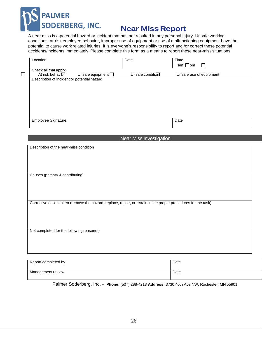

 $\Box$ 

## **Near Miss Report**

A near miss is a potential hazard or incident that has not resulted in any personal injury. Unsafe working conditions, at risk employee behavior, improper use of equipment or use of malfunctioning equipment have the potential to cause work related injuries. It is everyone's responsibility to report and /or correct these potential accidents/incidents immediately. Please complete this form as a means to report these near-miss situations.

| Location                                    |                         | Date             | Time                    |
|---------------------------------------------|-------------------------|------------------|-------------------------|
|                                             |                         |                  | am □pm                  |
| Check all that apply:                       |                         |                  |                         |
| At risk behavior                            | Unsafe equipment $\Box$ | Unsafe condition | Unsafe use of equipment |
| Description of incident or potential hazard |                         |                  |                         |
|                                             |                         |                  |                         |
|                                             |                         |                  |                         |
|                                             |                         |                  |                         |
|                                             |                         |                  |                         |
|                                             |                         |                  |                         |
|                                             |                         |                  |                         |
|                                             |                         |                  |                         |
|                                             |                         |                  |                         |
| Employee Signature                          |                         |                  | Date                    |
|                                             |                         |                  |                         |
|                                             |                         |                  |                         |

Near Miss Investigation

Description of the near-miss condition

Causes (primary & contributing)

Corrective action taken (remove the hazard, replace, repair, or retrain in the proper procedures for the task)

Not completed for the following reason(s)

| Report completed by | Date |
|---------------------|------|
| Management review   | Date |

Palmer Soderberg, Inc. - **Phone:** (507) 288-4213 **Address:** 3730 40th Ave NW, Rochester, MN 55901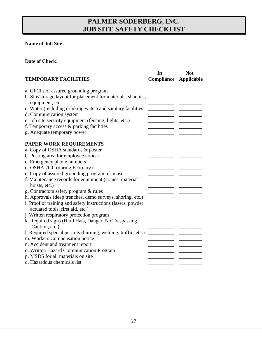## **PALMER SODERBERG, INC. JOB SITE SAFETY CHECKLIST**

## **Name of Job Site:**

## **Date of Check:**

| a. GFCI's of assured grounding program<br>b. Site/storage layout for placement for materials, shanties,<br>equipment, etc.<br>c. Water (including drinking water) and sanitary facilities<br>d. Communication system<br>e. Job site security equipment (fencing, lights, etc.)<br>f. Temporary access & parking facilities<br>g. Adequate temporary power<br>PAPER WORK REQUIREMENTS<br>a. Copy of OSHA standards & poster<br>b. Posting area for employee notices<br>c. Emergency phone numbers<br>d. OSHA 200' (during February)<br>e. Copy of assured grounding program, if in use<br>f. Maintenance records for equipment (cranes, material<br>hoists, etc.)<br>g. Contractors safety program & rules<br>h. Approvals (deep trenches, demo surveys, shoring, etc.)<br>i. Proof of training and safety instructions (lasers, powder<br>actuated tools, first aid, etc.)<br>j. Written respiratory protection program<br>k. Required signs (Hard Hats, Danger, No Trespassing,<br>Caution, etc.)<br>1. Required special permits (burning, welding, traffic, etc.)<br>m. Workers Compensation notice<br>n. Accident and treatment report<br>o. Written Hazard Communication Program<br>p. MSDS for all materials on site | <b>TEMPORARY FACILITIES</b> | In<br><b>Compliance Applicable</b> | <b>Not</b> |
|---------------------------------------------------------------------------------------------------------------------------------------------------------------------------------------------------------------------------------------------------------------------------------------------------------------------------------------------------------------------------------------------------------------------------------------------------------------------------------------------------------------------------------------------------------------------------------------------------------------------------------------------------------------------------------------------------------------------------------------------------------------------------------------------------------------------------------------------------------------------------------------------------------------------------------------------------------------------------------------------------------------------------------------------------------------------------------------------------------------------------------------------------------------------------------------------------------------------------|-----------------------------|------------------------------------|------------|
|                                                                                                                                                                                                                                                                                                                                                                                                                                                                                                                                                                                                                                                                                                                                                                                                                                                                                                                                                                                                                                                                                                                                                                                                                           |                             |                                    |            |
|                                                                                                                                                                                                                                                                                                                                                                                                                                                                                                                                                                                                                                                                                                                                                                                                                                                                                                                                                                                                                                                                                                                                                                                                                           |                             |                                    |            |
|                                                                                                                                                                                                                                                                                                                                                                                                                                                                                                                                                                                                                                                                                                                                                                                                                                                                                                                                                                                                                                                                                                                                                                                                                           |                             |                                    |            |
|                                                                                                                                                                                                                                                                                                                                                                                                                                                                                                                                                                                                                                                                                                                                                                                                                                                                                                                                                                                                                                                                                                                                                                                                                           |                             |                                    |            |
|                                                                                                                                                                                                                                                                                                                                                                                                                                                                                                                                                                                                                                                                                                                                                                                                                                                                                                                                                                                                                                                                                                                                                                                                                           |                             |                                    |            |
|                                                                                                                                                                                                                                                                                                                                                                                                                                                                                                                                                                                                                                                                                                                                                                                                                                                                                                                                                                                                                                                                                                                                                                                                                           |                             |                                    |            |
|                                                                                                                                                                                                                                                                                                                                                                                                                                                                                                                                                                                                                                                                                                                                                                                                                                                                                                                                                                                                                                                                                                                                                                                                                           |                             |                                    |            |
|                                                                                                                                                                                                                                                                                                                                                                                                                                                                                                                                                                                                                                                                                                                                                                                                                                                                                                                                                                                                                                                                                                                                                                                                                           |                             |                                    |            |
|                                                                                                                                                                                                                                                                                                                                                                                                                                                                                                                                                                                                                                                                                                                                                                                                                                                                                                                                                                                                                                                                                                                                                                                                                           |                             |                                    |            |
|                                                                                                                                                                                                                                                                                                                                                                                                                                                                                                                                                                                                                                                                                                                                                                                                                                                                                                                                                                                                                                                                                                                                                                                                                           |                             |                                    |            |
|                                                                                                                                                                                                                                                                                                                                                                                                                                                                                                                                                                                                                                                                                                                                                                                                                                                                                                                                                                                                                                                                                                                                                                                                                           |                             |                                    |            |
|                                                                                                                                                                                                                                                                                                                                                                                                                                                                                                                                                                                                                                                                                                                                                                                                                                                                                                                                                                                                                                                                                                                                                                                                                           |                             |                                    |            |
|                                                                                                                                                                                                                                                                                                                                                                                                                                                                                                                                                                                                                                                                                                                                                                                                                                                                                                                                                                                                                                                                                                                                                                                                                           |                             |                                    |            |
|                                                                                                                                                                                                                                                                                                                                                                                                                                                                                                                                                                                                                                                                                                                                                                                                                                                                                                                                                                                                                                                                                                                                                                                                                           |                             |                                    |            |
|                                                                                                                                                                                                                                                                                                                                                                                                                                                                                                                                                                                                                                                                                                                                                                                                                                                                                                                                                                                                                                                                                                                                                                                                                           |                             |                                    |            |
|                                                                                                                                                                                                                                                                                                                                                                                                                                                                                                                                                                                                                                                                                                                                                                                                                                                                                                                                                                                                                                                                                                                                                                                                                           |                             |                                    |            |
|                                                                                                                                                                                                                                                                                                                                                                                                                                                                                                                                                                                                                                                                                                                                                                                                                                                                                                                                                                                                                                                                                                                                                                                                                           |                             |                                    |            |
|                                                                                                                                                                                                                                                                                                                                                                                                                                                                                                                                                                                                                                                                                                                                                                                                                                                                                                                                                                                                                                                                                                                                                                                                                           |                             |                                    |            |
|                                                                                                                                                                                                                                                                                                                                                                                                                                                                                                                                                                                                                                                                                                                                                                                                                                                                                                                                                                                                                                                                                                                                                                                                                           |                             |                                    |            |
|                                                                                                                                                                                                                                                                                                                                                                                                                                                                                                                                                                                                                                                                                                                                                                                                                                                                                                                                                                                                                                                                                                                                                                                                                           |                             |                                    |            |
|                                                                                                                                                                                                                                                                                                                                                                                                                                                                                                                                                                                                                                                                                                                                                                                                                                                                                                                                                                                                                                                                                                                                                                                                                           |                             |                                    |            |
|                                                                                                                                                                                                                                                                                                                                                                                                                                                                                                                                                                                                                                                                                                                                                                                                                                                                                                                                                                                                                                                                                                                                                                                                                           |                             |                                    |            |
|                                                                                                                                                                                                                                                                                                                                                                                                                                                                                                                                                                                                                                                                                                                                                                                                                                                                                                                                                                                                                                                                                                                                                                                                                           |                             |                                    |            |
|                                                                                                                                                                                                                                                                                                                                                                                                                                                                                                                                                                                                                                                                                                                                                                                                                                                                                                                                                                                                                                                                                                                                                                                                                           |                             |                                    |            |
|                                                                                                                                                                                                                                                                                                                                                                                                                                                                                                                                                                                                                                                                                                                                                                                                                                                                                                                                                                                                                                                                                                                                                                                                                           |                             |                                    |            |
|                                                                                                                                                                                                                                                                                                                                                                                                                                                                                                                                                                                                                                                                                                                                                                                                                                                                                                                                                                                                                                                                                                                                                                                                                           |                             |                                    |            |
|                                                                                                                                                                                                                                                                                                                                                                                                                                                                                                                                                                                                                                                                                                                                                                                                                                                                                                                                                                                                                                                                                                                                                                                                                           | q. Hazardous chemicals list |                                    |            |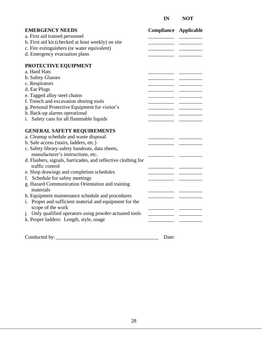## **IN NOT**

| <b>EMERGENCY NEEDS</b>                                                       | <b>Compliance Applicable</b> |  |
|------------------------------------------------------------------------------|------------------------------|--|
| a. First aid trained personnel                                               |                              |  |
| b. First aid kit (checked at least weekly) on site                           |                              |  |
| c. Fire extinguishers (or water equivalent)                                  |                              |  |
| d. Emergency evacuation plans                                                |                              |  |
| PROTECTIVE EQUIPMENT                                                         |                              |  |
| a. Hard Hats                                                                 |                              |  |
| b. Safety Glasses                                                            |                              |  |
| c. Respirators                                                               |                              |  |
| d. Ear Plugs                                                                 |                              |  |
| e. Tagged alloy steel chains                                                 |                              |  |
| f. Trench and excavation shoring tools                                       |                              |  |
| g. Personal Protective Equipment for visitor's                               |                              |  |
| h. Back-up alarms operational                                                |                              |  |
| i. Safety cans for all flammable liquids                                     |                              |  |
| <b>GENERAL SAFETY REQUIREMENTS</b>                                           |                              |  |
| a. Cleanup schedule and waste disposal                                       |                              |  |
| b. Safe access (stairs, ladders, etc.)                                       |                              |  |
| c. Safety library-safety handouts, data sheets,                              |                              |  |
| manufacturer's instructions, etc.                                            |                              |  |
| d. Flashers, signals, barricades, and reflective clothing for                |                              |  |
| traffic control                                                              |                              |  |
| e. Shop drawings and completion schedules                                    |                              |  |
| f. Schedule for safety meetings                                              |                              |  |
| g. Hazard Communication Orientation and training<br>materials                |                              |  |
| h. Equipment maintenance schedule and procedures                             |                              |  |
| i. Proper and sufficient material and equipment for the<br>scope of the work |                              |  |
| j. Only qualified operators using powder-actuated tools                      |                              |  |
| k. Proper ladders: Length, style, usage                                      |                              |  |
|                                                                              |                              |  |

Conducted by: \_\_\_\_\_\_\_\_\_\_\_\_\_\_\_\_\_\_\_\_\_\_\_\_\_\_\_\_\_\_\_\_\_\_\_\_\_\_\_\_ Date: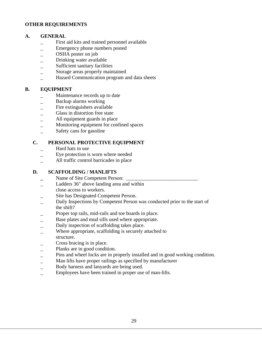#### **OTHER REQUIREMENTS**

#### **A. GENERAL**

- First aid kits and trained personnel available
- \_ Emergency phone numbers posted
- \_ OSHA poster on job
- \_ Drinking water available
- Sufficient sanitary facilities
- Storage areas properly maintained
- \_ Hazard Communication program and data sheets

#### **B. EQUIPMENT**

- \_ Maintenance records up to date
- \_ Backup alarms working
- Fire extinguishers available
- \_ Glass in distortion free state
- \_ All equipment guards in place
- Monitoring equipment for confined spaces
- Safety cans for gasoline

#### **C. PERSONAL PROTECTIVE EQUIPMENT**

- Hard hats in use
- \_ Eye protection is worn where needed
- \_ All traffic control barricades in place

### **D. SCAFFOLDING / MANLIFTS**

- Name of Site Competent Person:
- Ladders 36" above landing area and within
- close access to workers.
- Site has Designated Competent Person.
- Daily Inspections by Competent Person was conducted prior to the start of the shift?
- Proper top rails, mid-rails and toe boards in place.
- Base plates and mud sills used where appropriate.
- \_ Daily inspection of scaffolding takes place.
- Where appropriate, scaffolding is securely attached to structure.
- Cross bracing is in place.
- Planks are in good condition.
- Pins and wheel locks are in properly installed and in good working condition.
- Man lifts have proper railings as specified by manufacturer
- \_ Body harness and lanyards are being used.
- Employees have been trained in proper use of man-lifts.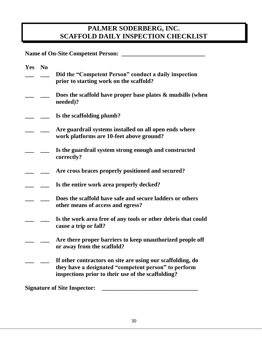## **PALMER SODERBERG, INC. SCAFFOLD DAILY INSPECTION CHECKLIST**

**Name of On-Site Competent Person: \_\_\_\_\_\_\_\_\_\_\_\_\_\_\_\_\_\_\_\_\_\_\_\_\_\_\_\_**

| Yes No |                                                                                                                                                                          |
|--------|--------------------------------------------------------------------------------------------------------------------------------------------------------------------------|
|        | Did the "Competent Person" conduct a daily inspection<br>prior to starting work on the scaffold?                                                                         |
|        | Does the scaffold have proper base plates $\&$ mudsills (when<br>needed)?                                                                                                |
|        | Is the scaffolding plumb?                                                                                                                                                |
|        | Are guardrail systems installed on all open ends where<br>work platforms are 10-feet above ground?                                                                       |
|        | Is the guardrail system strong enough and constructed<br>correctly?                                                                                                      |
|        | Are cross braces properly positioned and secured?                                                                                                                        |
|        | Is the entire work area properly decked?                                                                                                                                 |
|        | Does the scaffold have safe and secure ladders or others<br>other means of access and egress?                                                                            |
|        | Is the work area free of any tools or other debris that could<br>cause a trip or fall?                                                                                   |
|        | Are there proper barriers to keep unauthorized people off<br>or away from the scaffold?                                                                                  |
|        | If other contractors on site are using our scaffolding, do<br>they have a designated "competent person" to perform<br>inspections prior to their use of the scaffolding? |
|        | <b>Signature of Site Inspector:</b>                                                                                                                                      |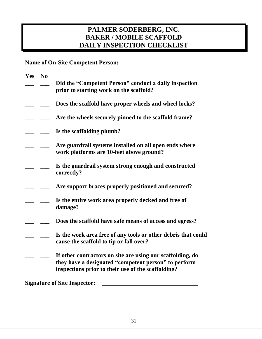## **PALMER SODERBERG, INC. BAKER / MOBILE SCAFFOLD DAILY INSPECTION CHECKLIST**

**Name of On-Site Competent Person: \_\_\_\_\_\_\_\_\_\_\_\_\_\_\_\_\_\_\_\_\_\_\_\_\_\_\_\_**

| <b>Yes</b> | N <sub>0</sub> |                                                                                                                                                                          |
|------------|----------------|--------------------------------------------------------------------------------------------------------------------------------------------------------------------------|
|            |                | Did the "Competent Person" conduct a daily inspection<br>prior to starting work on the scaffold?                                                                         |
|            |                | Does the scaffold have proper wheels and wheel locks?                                                                                                                    |
|            |                | Are the wheels securely pinned to the scaffold frame?                                                                                                                    |
|            |                | Is the scaffolding plumb?                                                                                                                                                |
|            |                | Are guardrail systems installed on all open ends where<br>work platforms are 10-feet above ground?                                                                       |
|            |                | Is the guardrail system strong enough and constructed<br>correctly?                                                                                                      |
|            |                | Are support braces properly positioned and secured?                                                                                                                      |
|            |                | Is the entire work area properly decked and free of<br>damage?                                                                                                           |
|            |                | Does the scaffold have safe means of access and egress?                                                                                                                  |
|            |                | Is the work area free of any tools or other debris that could<br>cause the scaffold to tip or fall over?                                                                 |
|            |                | If other contractors on site are using our scaffolding, do<br>they have a designated "competent person" to perform<br>inspections prior to their use of the scaffolding? |
|            |                | <b>Signature of Site Inspector:</b>                                                                                                                                      |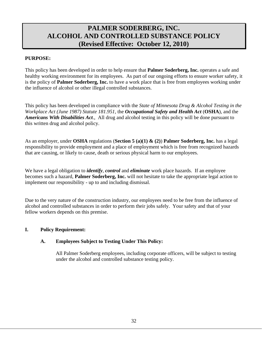## **PALMER SODERBERG, INC. ALCOHOL AND CONTROLLED SUBSTANCE POLICY (Revised Effective: October 12, 2010)**

## **PURPOSE:**

This policy has been developed in order to help ensure that **Palmer Soderberg, Inc.** operates a safe and healthy working environment for its employees. As part of our ongoing efforts to ensure worker safety, it is the policy of **Palmer Soderberg, Inc.** to have a work place that is free from employees working under the influence of alcohol or other illegal controlled substances.

This policy has been developed in compliance with the *State of Minnesota Drug & Alcohol Testing in the Workplace Act (June 1987) Statute 181.951,* the *Occupational Safety and Health Act* (**OSHA**), and the *Americans With Disabilities Act*., All drug and alcohol testing in this policy will be done pursuant to this written drug and alcohol policy.

As an employer, under **OSHA** regulations (**Section 5 (a)(1) & (2)**) **Palmer Soderberg, Inc.** has a legal responsibility to provide employment and a place of employment which is free from recognized hazards that are causing, or likely to cause, death or serious physical harm to our employees.

We have a legal obligation to *identify*, *control* and *eliminate* work place hazards. If an employee becomes such a hazard, **Palmer Soderberg, Inc.** will not hesitate to take the appropriate legal action to implement our responsibility - up to and including dismissal.

Due to the very nature of the construction industry, our employees need to be free from the influence of alcohol and controlled substances in order to perform their jobs safely. Your safety and that of your fellow workers depends on this premise.

## **I. Policy Requirement:**

## **A. Employees Subject to Testing Under This Policy:**

All Palmer Soderberg employees, including corporate officers, will be subject to testing under the alcohol and controlled substance testing policy.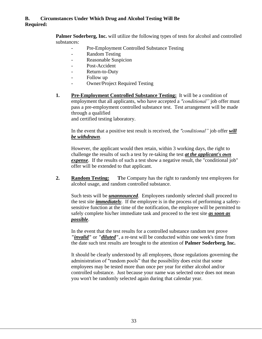## **B. Circumstances Under Which Drug and Alcohol Testing Will Be Required:**

**Palmer Soderberg, Inc.** will utilize the following types of tests for alcohol and controlled substances:

- Pre-Employment Controlled Substance Testing
- Random Testing
- Reasonable Suspicion
- Post-Accident
- Return-to-Duty
- Follow up
- Owner/Project Required Testing
- **1. Pre-Employment Controlled Substance Testing:** It will be a condition of employment that all applicants, who have accepted a *"conditional"* job offer must pass a pre-employment controlled substance test. Test arrangement will be made through a qualified and certified testing laboratory.

In the event that a positive test result is received, the *"conditional"* job offer *will be withdrawn*.

However, the applicant would then retain, within 3 working days, the right to challenge the results of such a test by re-taking the test *at the applicant's own expense*. If the results of such a test show a negative result, the "conditional job" offer will be extended to that applicant.

**2. Random Testing: T**he Company has the right to randomly test employees for alcohol usage, and random controlled substance.

Such tests will be *unannounced*. Employees randomly selected shall proceed to the test site *immediately*. If the employee is in the process of performing a safetysensitive function at the time of the notification, the employee will be permitted to safely complete his/her immediate task and proceed to the test site *as soon as possible*.

In the event that the test results for a controlled substance random test prove *"invalid"* or *"diluted"*, a re-test will be conducted within one week's time from the date such test results are brought to the attention of **Palmer Soderberg, Inc.**

It should be clearly understood by all employees, those regulations governing the administration of "random pools" that the possibility does exist that some employees may be tested more than once per year for either alcohol and/or controlled substance. Just because your name was selected once does not mean you won't be randomly selected again during that calendar year.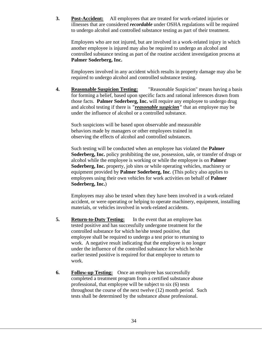**3. Post-Accident:** All employees that are treated for work-related injuries or illnesses that are considered *recordable* under OSHA regulations will be required to undergo alcohol and controlled substance testing as part of their treatment.

Employees who are not injured, but are involved in a work-related injury in which another employee is injured may also be required to undergo an alcohol and controlled substance testing as part of the routine accident investigation process at **Palmer Soderberg, Inc.**

Employees involved in any accident which results in property damage may also be required to undergo alcohol and controlled substance testing.

**4. Reasonable Suspicion Testing:** "Reasonable Suspicion" means having a basis for forming a belief, based upon specific facts and rational inferences drawn from those facts. **Palmer Soderberg, Inc.** will require any employee to undergo drug and alcohol testing if there is *"reasonable suspicion"* that an employee may be under the influence of alcohol or a controlled substance.

Such suspicions will be based upon observable and measurable behaviors made by managers or other employees trained in observing the effects of alcohol and controlled substances.

Such testing will be conducted when an employee has violated the **Palmer Soderberg, Inc.** policy prohibiting the use, possession, sale, or transfer of drugs or alcohol while the employee is working or while the employee is on **Palmer Soderberg, Inc.** property, job sites or while operating vehicles, machinery or equipment provided by **Palmer Soderberg, Inc**. (This policy also applies to employees using their own vehicles for work activities on behalf of **Palmer Soderberg, Inc.**)

Employees may also be tested when they have been involved in a work-related accident, or were operating or helping to operate machinery, equipment, installing materials, or vehicles involved in work-related accidents.

- **5. Return-to-Duty Testing:** In the event that an employee has tested positive and has successfully undergone treatment for the controlled substance for which he/she tested positive, that employee shall be required to undergo a test prior to returning to work. A negative result indicating that the employee is no longer under the influence of the controlled substance for which he/she earlier tested positive is required for that employee to return to work.
- **6. Follow-up Testing:** Once an employee has successfully completed a treatment program from a certified substance abuse professional, that employee will be subject to six (6) tests throughout the course of the next twelve (12) month period. Such tests shall be determined by the substance abuse professional.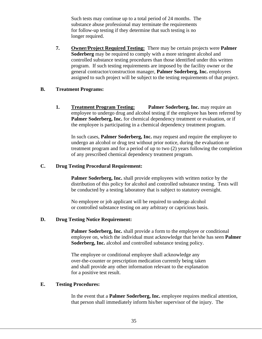Such tests may continue up to a total period of 24 months. The substance abuse professional may terminate the requirements for follow-up testing if they determine that such testing is no longer required.

**7. Owner/Project Required Testing:** There may be certain projects were **Palmer Soderberg** may be required to comply with a more stringent alcohol and controlled substance testing procedures than those identified under this written program. If such testing requirements are imposed by the facility owner or the general contractor/construction manager, **Palmer Soderberg, Inc.** employees assigned to such project will be subject to the testing requirements of that project.

#### **B. Treatment Programs:**

**1. Treatment Program Testing: Palmer Soderberg, Inc.** may require an employee to undergo drug and alcohol testing if the employee has been referred by **Palmer Soderberg, Inc.** for chemical dependency treatment or evaluation, or if the employee is participating in a chemical dependency treatment program.

In such cases, **Palmer Soderberg, Inc.** may request and require the employee to undergo an alcohol or drug test without prior notice, during the evaluation or treatment program and for a period of up to two (2) years following the completion of any prescribed chemical dependency treatment program.

#### **C. Drug Testing Procedural Requirement:**

**Palmer Soderberg, Inc.** shall provide employees with written notice by the distribution of this policy for alcohol and controlled substance testing. Tests will be conducted by a testing laboratory that is subject to statutory oversight.

No employee or job applicant will be required to undergo alcohol or controlled substance testing on any arbitrary or capricious basis.

#### **D. Drug Testing Notice Requirement:**

**Palmer Soderberg, Inc.** shall provide a form to the employee or conditional employee on, which the individual must acknowledge that he/she has seen **Palmer Soderberg, Inc.** alcohol and controlled substance testing policy.

The employee or conditional employee shall acknowledge any over-the-counter or prescription medication currently being taken and shall provide any other information relevant to the explanation for a positive test result.

#### **E. Testing Procedures:**

In the event that a **Palmer Soderberg, Inc.** employee requires medical attention, that person shall immediately inform his/her supervisor of the injury. The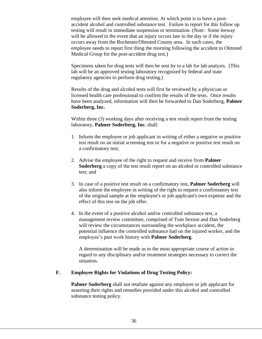employee will then seek medical attention. At which point is to have a postaccident alcohol and controlled substance test. Failure to report for this follow up testing will result in immediate suspension or termination. (Note: Some leeway will be allowed in the event that an injury occurs late in the day or if the injury occurs away from the Rochester/Olmsted County area. In such cases, the employee needs to report first thing the morning following the accident to Olmsted Medical Group for the post-accident drug test.)

Specimens taken for drug tests will then be sent by to a lab for lab analysis. (This lab will be an approved testing laboratory recognized by federal and state regulatory agencies to perform drug testing.)

Results of the drug and alcohol tests will first be reviewed by a physician or licensed health care professional to confirm the results of the tests. Once results have been analyzed, information will then be forwarded to Dan Soderberg, **Palmer Soderberg, Inc.**

Within three (3) working days after receiving a test result report from the testing laboratory, **Palmer Soderberg, Inc.** shall:

- 1. Inform the employee or job applicant in writing of either a negative or positive test result on an initial screening test or for a negative or positive test result on a confirmatory test;
- 2. Advise the employee of the right to request and receive from **Palmer Soderberg** a copy of the test result report on an alcohol or controlled substance test; and
- 3. In case of a positive test result on a confirmatory test, **Palmer Soderberg** will also inform the employee in writing of the right to request a confirmatory test of the original sample at the employee's or job applicant's own expense and the effect of this test on the job offer.
- 4. In the event of a positive alcohol and/or controlled substance test, a management review committee, comprised of Tom Sexton and Dan Soderberg will review the circumstances surrounding the workplace accident, the potential influence the controlled substance had on the injured worker, and the employee's past work history with **Palmer Soderberg**.

A determination will be made as to the most appropriate course of action in regard to any disciplinary and/or treatment strategies necessary to correct the situation.

#### **F. Employee Rights for Violations of Drug Testing Policy:**

**Palmer Soderberg** shall not retaliate against any employee or job applicant for asserting their rights and remedies provided under this alcohol and controlled substance testing policy.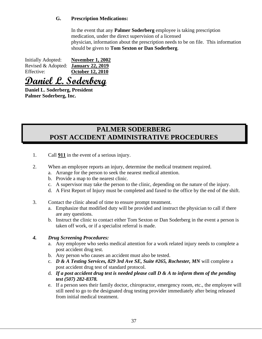## **G. Prescription Medications:**

In the event that any **Palmer Soderberg** employee is taking prescription medication, under the direct supervision of a licensed physician, information about the prescription needs to be on file. This information should be given to **Tom Sexton or Dan Soderberg**.

| <b>Initially Adopted:</b> | <b>November 1, 2002</b> |
|---------------------------|-------------------------|
| Revised & Adopted:        | <b>January 22, 2019</b> |
| Effective:                | <b>October 12, 2010</b> |

**Daniel L. Soderberg**

**Daniel L. Soderberg, President Palmer Soderberg, Inc.**

## **PALMER SODERBERG POST ACCIDENT ADMINISTRATIVE PROCEDURES**

- 1. Call **911** in the event of a serious injury.
- 2. When an employee reports an injury, determine the medical treatment required.
	- a. Arrange for the person to seek the nearest medical attention.
	- b. Provide a map to the nearest clinic.
	- c. A supervisor may take the person to the clinic, depending on the nature of the injury.
	- d. A First Report of Injury must be completed and faxed to the office by the end of the shift.
- 3. Contact the clinic ahead of time to ensure prompt treatment.
	- a. Emphasize that modified duty will be provided and instruct the physician to call if there are any questions.
	- b. Instruct the clinic to contact either Tom Sexton or Dan Soderberg in the event a person is taken off work, or if a specialist referral is made.

## *4. Drug Screening Procedures:*

- a. Any employee who seeks medical attention for a work related injury needs to complete a post accident drug test.
- b. Any person who causes an accident must also be tested.
- c. *D & A Testing Services, 829 3rd Ave SE, Suite #265, Rochester, MN* will complete a post accident drug test of standard protocol.
- d. *If a post accident drug test is needed please call D & A to inform them of the pending test (507) 282-8378.*
- e. If a person sees their family doctor, chiropractor, emergency room, etc., the employee will still need to go to the designated drug testing provider immediately after being released from initial medical treatment.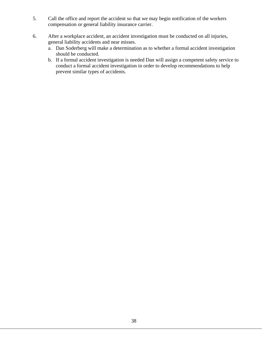- 5. Call the office and report the accident so that we may begin notification of the workers compensation or general liability insurance carrier.
- 6. After a workplace accident, an accident investigation must be conducted on all injuries, general liability accidents and near misses.
	- a. Dan Soderberg will make a determination as to whether a formal accident investigation should be conducted.
	- b. If a formal accident investigation is needed Dan will assign a competent safety service to conduct a formal accident investigation in order to develop recommendations to help prevent similar types of accidents.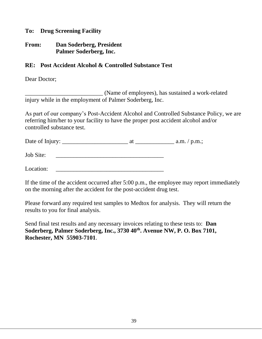## **To: Drug Screening Facility**

## **From: Dan Soderberg, President Palmer Soderberg, Inc.**

## **RE: Post Accident Alcohol & Controlled Substance Test**

Dear Doctor;

\_\_\_\_\_\_\_\_\_\_\_\_\_\_\_\_\_\_\_\_\_\_\_\_\_\_ (Name of employees), has sustained a work-related injury while in the employment of Palmer Soderberg, Inc.

As part of our company's Post-Accident Alcohol and Controlled Substance Policy, we are referring him/her to your facility to have the proper post accident alcohol and/or controlled substance test.

Date of Injury: \_\_\_\_\_\_\_\_\_\_\_\_\_\_\_\_\_\_\_\_\_\_ at \_\_\_\_\_\_\_\_\_\_\_\_\_ a.m. / p.m.;

Job Site:

Location:

If the time of the accident occurred after 5:00 p.m., the employee may report immediately on the morning after the accident for the post-accident drug test.

Please forward any required test samples to Medtox for analysis. They will return the results to you for final analysis.

Send final test results and any necessary invoices relating to these tests to: **Dan Soderberg, Palmer Soderberg, Inc., 3730 40th. Avenue NW, P. O. Box 7101, Rochester, MN 55903-7101**.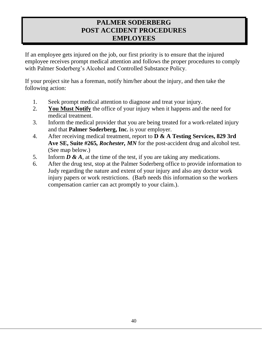## **PALMER SODERBERG POST ACCIDENT PROCEDURES EMPLOYEES**

If an employee gets injured on the job, our first priority is to ensure that the injured employee receives prompt medical attention and follows the proper procedures to comply with Palmer Soderberg's Alcohol and Controlled Substance Policy.

If your project site has a foreman, notify him/her about the injury, and then take the following action:

- 1. Seek prompt medical attention to diagnose and treat your injury.
- 2. **You Must Notify** the office of your injury when it happens and the need for medical treatment.
- 3. Inform the medical provider that you are being treated for a work-related injury and that **Palmer Soderberg, Inc.** is your employer.
- 4. After receiving medical treatment, report to **D & A Testing Services, 829 3rd Ave SE, Suite #265***, Rochester, MN* for the post-accident drug and alcohol test. (See map below.)
- 5. Inform *D & A*, at the time of the test, if you are taking any medications.
- 6. After the drug test, stop at the Palmer Soderberg office to provide information to Judy regarding the nature and extent of your injury and also any doctor work injury papers or work restrictions. (Barb needs this information so the workers compensation carrier can act promptly to your claim.).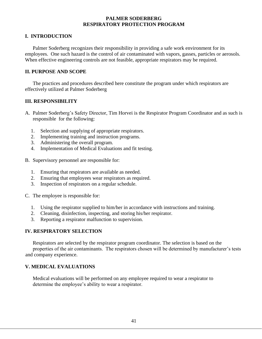#### **PALMER SODERBERG RESPIRATORY PROTECTION PROGRAM**

## **I. INTRODUCTION**

Palmer Soderberg recognizes their responsibility in providing a safe work environment for its employees. One such hazard is the control of air contaminated with vapors, gasses, particles or aerosols. When effective engineering controls are not feasible, appropriate respirators may be required.

## **II. PURPOSE AND SCOPE**

The practices and procedures described here constitute the program under which respirators are effectively utilized at Palmer Soderberg

## **III. RESPONSIBILITY**

- A. Palmer Soderberg's Safety Director, Tim Horvei is the Respirator Program Coordinator and as such is responsible for the following:
	- 1. Selection and supplying of appropriate respirators.
	- 2. Implementing training and instruction programs.
	- 3. Administering the overall program.
	- 4. Implementation of Medical Evaluations and fit testing.
- B. Supervisory personnel are responsible for:
	- 1. Ensuring that respirators are available as needed.
	- 2. Ensuring that employees wear respirators as required.
	- 3. Inspection of respirators on a regular schedule.

C. The employee is responsible for:

- 1. Using the respirator supplied to him/her in accordance with instructions and training.
- 2. Cleaning, disinfection, inspecting, and storing his/her respirator.
- 3. Reporting a respirator malfunction to supervision.

## **IV. RESPIRATORY SELECTION**

Respirators are selected by the respirator program coordinator. The selection is based on the properties of the air contaminants. The respirators chosen will be determined by manufacturer's tests and company experience.

#### **V. MEDICAL EVALUATIONS**

Medical evaluations will be performed on any employee required to wear a respirator to determine the employee's ability to wear a respirator.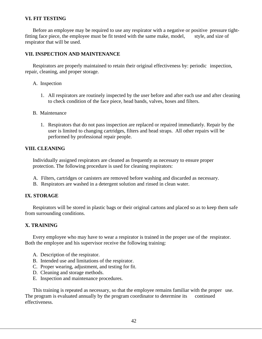### **VI. FIT TESTING**

Before an employee may be required to use any respirator with a negative or positive pressure tightfitting face piece, the employee must be fit tested with the same make, model, style, and size of respirator that will be used.

#### **VII. INSPECTION AND MAINTENANCE**

Respirators are properly maintained to retain their original effectiveness by: periodic inspection, repair, cleaning, and proper storage.

- A. Inspection
	- 1. All respirators are routinely inspected by the user before and after each use and after cleaning to check condition of the face piece, head bands, valves, hoses and filters.
- B. Maintenance
	- 1. Respirators that do not pass inspection are replaced or repaired immediately. Repair by the user is limited to changing cartridges, filters and head straps. All other repairs will be performed by professional repair people.

#### **VIII. CLEANING**

Individually assigned respirators are cleaned as frequently as necessary to ensure proper protection. The following procedure is used for cleaning respirators:

- A. Filters, cartridges or canisters are removed before washing and discarded as necessary.
- B. Respirators are washed in a detergent solution and rinsed in clean water.

#### **IX. STORAGE**

Respirators will be stored in plastic bags or their original cartons and placed so as to keep them safe from surrounding conditions.

#### **X. TRAINING**

Every employee who may have to wear a respirator is trained in the proper use of the respirator. Both the employee and his supervisor receive the following training:

- A. Description of the respirator.
- B. Intended use and limitations of the respirator.
- C. Proper wearing, adjustment, and testing for fit.
- D. Cleaning and storage methods.
- E. Inspection and maintenance procedures.

This training is repeated as necessary, so that the employee remains familiar with the proper use. The program is evaluated annually by the program coordinator to determine its continued effectiveness.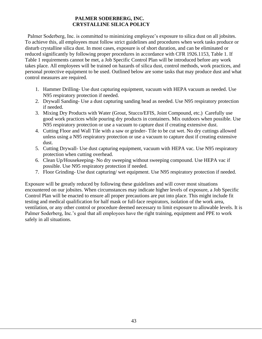## **PALMER SODERBERG, INC. CRYSTALLINE SILICA POLICY**

Palmer Soderberg, Inc. is committed to minimizing employee's exposure to silica dust on all jobsites. To achieve this, all employees must follow strict guidelines and procedures when work tasks produce or disturb crystalline silica dust. In most cases, exposure is of short duration, and can be eliminated or reduced significantly by following proper procedures in accordance with CFR 1926.1153, Table 1. If Table 1 requirements cannot be met, a Job Specific Control Plan will be introduced before any work takes place. All employees will be trained on hazards of silica dust, control methods, work practices, and personal protective equipment to be used. Outlined below are some tasks that may produce dust and what control measures are required.

- 1. Hammer Drilling- Use dust capturing equipment, vacuum with HEPA vacuum as needed. Use N95 respiratory protection if needed.
- 2. Drywall Sanding- Use a dust capturing sanding head as needed. Use N95 respiratory protection if needed.
- 3. Mixing Dry Products with Water (Grout, Stucco/EFIS, Joint Compound, etc.) Carefully use good work practices while pouring dry products in containers. Mix outdoors when possible. Use N95 respiratory protection or use a vacuum to capture dust if creating extensive dust.
- 4. Cutting Floor and Wall Tile with a saw or grinder- Tile to be cut wet. No dry cuttings allowed unless using a N95 respiratory protection or use a vacuum to capture dust if creating extensive dust.
- 5. Cutting Drywall- Use dust capturing equipment, vacuum with HEPA vac. Use N95 respiratory protection when cutting overhead.
- 6. Clean Up/Housekeeping- No dry sweeping without sweeping compound. Use HEPA vac if possible. Use N95 respiratory protection if needed.
- 7. Floor Grinding- Use dust capturing/ wet equipment. Use N95 respiratory protection if needed.

Exposure will be greatly reduced by following these guidelines and will cover most situations encountered on our jobsites. When circumstances may indicate higher levels of exposure, a Job Specific Control Plan will be enacted to ensure all proper precautions are put into place. This might include fit testing and medical qualification for half mask or full-face respirators, isolation of the work area, ventilation, or any other control or procedure deemed necessary to limit exposure to allowable levels. It is Palmer Soderberg, Inc.'s goal that all employees have the right training, equipment and PPE to work safely in all situations.